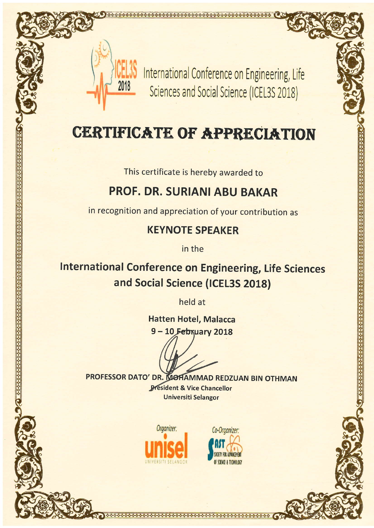

International Conference on Engineering, Life Sciences and Social Science (ICEL3S 2018)

# **CERTIFICATE OF APPRECIATION**

This certificate is hereby awarded to

## **PROF. DR. SURIANI ABU BAKAR**

in recognition and appreciation of your contribution as

### **KEYNOTE SPEAKER**

in the

**International Conference on Engineering, Life Sciences** and Social Science (ICEL3S 2018)

held at

**Hatten Hotel, Malacca** 9-10 February 2018

**PROFESSOR DATO' DR. MOHAMMAD REDZUAN BIN OTHMAN President & Vice Chancellor Universiti Selangor**